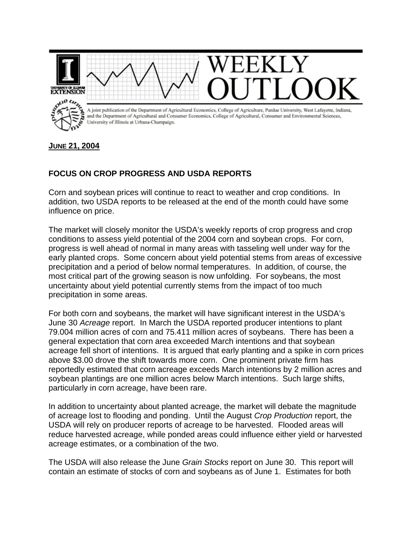

**JUNE 21, 2004**

## **FOCUS ON CROP PROGRESS AND USDA REPORTS**

Corn and soybean prices will continue to react to weather and crop conditions. In addition, two USDA reports to be released at the end of the month could have some influence on price.

The market will closely monitor the USDA's weekly reports of crop progress and crop conditions to assess yield potential of the 2004 corn and soybean crops. For corn, progress is well ahead of normal in many areas with tasseling well under way for the early planted crops. Some concern about yield potential stems from areas of excessive precipitation and a period of below normal temperatures. In addition, of course, the most critical part of the growing season is now unfolding. For soybeans, the most uncertainty about yield potential currently stems from the impact of too much precipitation in some areas.

For both corn and soybeans, the market will have significant interest in the USDA's June 30 *Acreage* report. In March the USDA reported producer intentions to plant 79.004 million acres of corn and 75.411 million acres of soybeans. There has been a general expectation that corn area exceeded March intentions and that soybean acreage fell short of intentions. It is argued that early planting and a spike in corn prices above \$3.00 drove the shift towards more corn. One prominent private firm has reportedly estimated that corn acreage exceeds March intentions by 2 million acres and soybean plantings are one million acres below March intentions. Such large shifts, particularly in corn acreage, have been rare.

In addition to uncertainty about planted acreage, the market will debate the magnitude of acreage lost to flooding and ponding. Until the August *Crop Production* report, the USDA will rely on producer reports of acreage to be harvested. Flooded areas will reduce harvested acreage, while ponded areas could influence either yield or harvested acreage estimates, or a combination of the two.

The USDA will also release the June *Grain Stocks* report on June 30. This report will contain an estimate of stocks of corn and soybeans as of June 1. Estimates for both